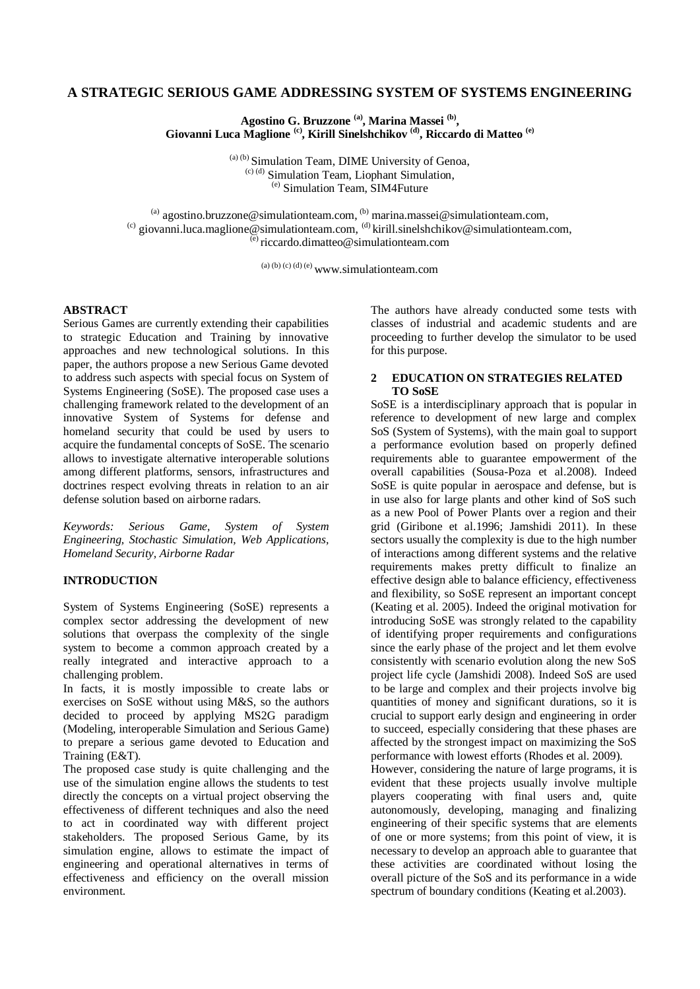# **A STRATEGIC SERIOUS GAME ADDRESSING SYSTEM OF SYSTEMS ENGINEERING**

**Agostino G. Bruzzone (a), Marina Massei (b) , Giovanni Luca Maglione (c), Kirill Sinelshchikov (d), Riccardo di Matteo (e)**

> (a) (b) Simulation Team, DIME University of Genoa, (c) (d) Simulation Team, Liophant Simulation, (e) Simulation Team, SIM4Future

<sup>(a)</sup> agostino.bruzzone@simulationteam.com,  $^{(b)}$  marina.massei@simulationteam.com, (c) giovanni.luca.maglione@simulationteam.com,  $^{(d)}$  kirill.sinelshchikov@simulationteam.com, (e) riccardo.dimatteo@simulationteam.com

 $(a)$  (b) (c) (d) (e) www.simulationteam.com

#### **ABSTRACT**

Serious Games are currently extending their capabilities to strategic Education and Training by innovative approaches and new technological solutions. In this paper, the authors propose a new Serious Game devoted to address such aspects with special focus on System of Systems Engineering (SoSE). The proposed case uses a challenging framework related to the development of an innovative System of Systems for defense and homeland security that could be used by users to acquire the fundamental concepts of SoSE. The scenario allows to investigate alternative interoperable solutions among different platforms, sensors, infrastructures and doctrines respect evolving threats in relation to an air defense solution based on airborne radars.

*Keywords: Serious Game, System of System Engineering, Stochastic Simulation, Web Applications, Homeland Security, Airborne Radar*

## **INTRODUCTION**

System of Systems Engineering (SoSE) represents a complex sector addressing the development of new solutions that overpass the complexity of the single system to become a common approach created by a really integrated and interactive approach to a challenging problem.

In facts, it is mostly impossible to create labs or exercises on SoSE without using M&S, so the authors decided to proceed by applying MS2G paradigm (Modeling, interoperable Simulation and Serious Game) to prepare a serious game devoted to Education and Training (E&T).

The proposed case study is quite challenging and the use of the simulation engine allows the students to test directly the concepts on a virtual project observing the effectiveness of different techniques and also the need to act in coordinated way with different project stakeholders. The proposed Serious Game, by its simulation engine, allows to estimate the impact of engineering and operational alternatives in terms of effectiveness and efficiency on the overall mission environment.

The authors have already conducted some tests with classes of industrial and academic students and are proceeding to further develop the simulator to be used for this purpose.

## **2 EDUCATION ON STRATEGIES RELATED TO SoSE**

SoSE is a interdisciplinary approach that is popular in reference to development of new large and complex SoS (System of Systems), with the main goal to support a performance evolution based on properly defined requirements able to guarantee empowerment of the overall capabilities (Sousa-Poza et al.2008). Indeed SoSE is quite popular in aerospace and defense, but is in use also for large plants and other kind of SoS such as a new Pool of Power Plants over a region and their grid (Giribone et al.1996; Jamshidi 2011). In these sectors usually the complexity is due to the high number of interactions among different systems and the relative requirements makes pretty difficult to finalize an effective design able to balance efficiency, effectiveness and flexibility, so SoSE represent an important concept (Keating et al. 2005). Indeed the original motivation for introducing SoSE was strongly related to the capability of identifying proper requirements and configurations since the early phase of the project and let them evolve consistently with scenario evolution along the new SoS project life cycle (Jamshidi 2008). Indeed SoS are used to be large and complex and their projects involve big quantities of money and significant durations, so it is crucial to support early design and engineering in order to succeed, especially considering that these phases are affected by the strongest impact on maximizing the SoS performance with lowest efforts (Rhodes et al. 2009).

However, considering the nature of large programs, it is evident that these projects usually involve multiple players cooperating with final users and, quite autonomously, developing, managing and finalizing engineering of their specific systems that are elements of one or more systems; from this point of view, it is necessary to develop an approach able to guarantee that these activities are coordinated without losing the overall picture of the SoS and its performance in a wide spectrum of boundary conditions (Keating et al.2003).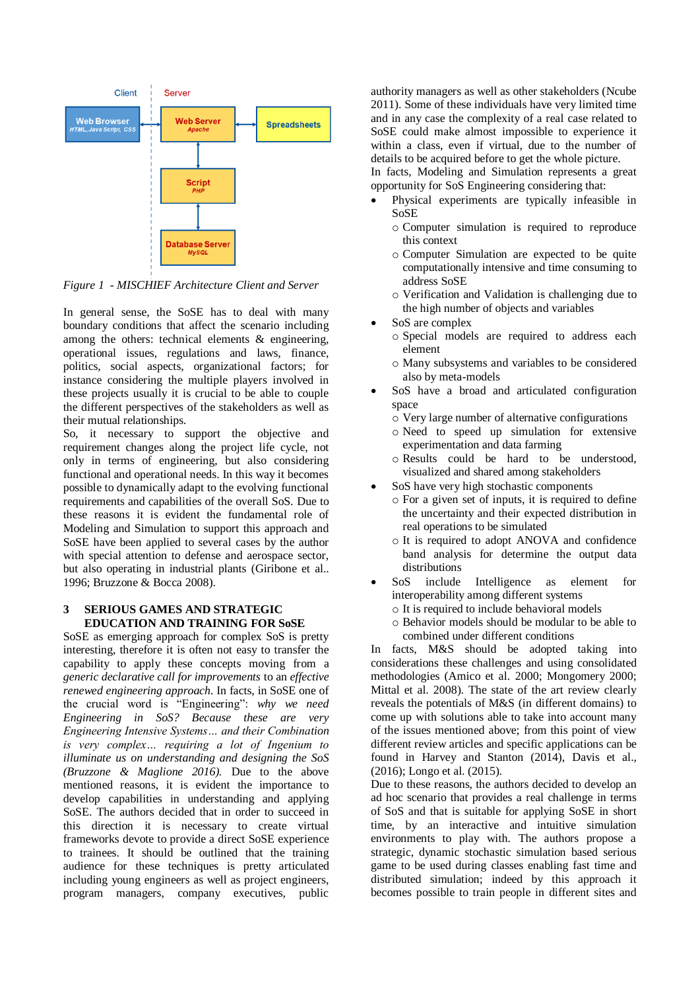

*Figure 1 - MISCHIEF Architecture Client and Server*

In general sense, the SoSE has to deal with many boundary conditions that affect the scenario including among the others: technical elements & engineering, operational issues, regulations and laws, finance, politics, social aspects, organizational factors; for instance considering the multiple players involved in these projects usually it is crucial to be able to couple the different perspectives of the stakeholders as well as their mutual relationships.

So, it necessary to support the objective and requirement changes along the project life cycle, not only in terms of engineering, but also considering functional and operational needs. In this way it becomes possible to dynamically adapt to the evolving functional requirements and capabilities of the overall SoS. Due to these reasons it is evident the fundamental role of Modeling and Simulation to support this approach and SoSE have been applied to several cases by the author with special attention to defense and aerospace sector, but also operating in industrial plants (Giribone et al.. 1996; Bruzzone & Bocca 2008).

### **3 SERIOUS GAMES AND STRATEGIC EDUCATION AND TRAINING FOR SoSE**

SoSE as emerging approach for complex SoS is pretty interesting, therefore it is often not easy to transfer the capability to apply these concepts moving from a *generic declarative call for improvements* to an *effective renewed engineering approach*. In facts, in SoSE one of the crucial word is "Engineering": *why we need Engineering in SoS? Because these are very Engineering Intensive Systems… and their Combination is very complex… requiring a lot of Ingenium to illuminate us on understanding and designing the SoS (Bruzzone & Maglione 2016).* Due to the above mentioned reasons, it is evident the importance to develop capabilities in understanding and applying SoSE. The authors decided that in order to succeed in this direction it is necessary to create virtual frameworks devote to provide a direct SoSE experience to trainees. It should be outlined that the training audience for these techniques is pretty articulated including young engineers as well as project engineers, program managers, company executives, public

authority managers as well as other stakeholders (Ncube 2011). Some of these individuals have very limited time and in any case the complexity of a real case related to SoSE could make almost impossible to experience it within a class, even if virtual, due to the number of details to be acquired before to get the whole picture.

In facts, Modeling and Simulation represents a great opportunity for SoS Engineering considering that:

- Physical experiments are typically infeasible in SoSE
	- o Computer simulation is required to reproduce this context
	- o Computer Simulation are expected to be quite computationally intensive and time consuming to address SoSE
	- o Verification and Validation is challenging due to the high number of objects and variables
- SoS are complex
	- o Special models are required to address each element
	- o Many subsystems and variables to be considered also by meta-models
- SoS have a broad and articulated configuration space
	- o Very large number of alternative configurations
	- o Need to speed up simulation for extensive experimentation and data farming
	- o Results could be hard to be understood, visualized and shared among stakeholders
- SoS have very high stochastic components
	- o For a given set of inputs, it is required to define the uncertainty and their expected distribution in real operations to be simulated
	- o It is required to adopt ANOVA and confidence band analysis for determine the output data distributions
- SoS include Intelligence as element for interoperability among different systems
	- o It is required to include behavioral models
	- o Behavior models should be modular to be able to combined under different conditions

In facts, M&S should be adopted taking into considerations these challenges and using consolidated methodologies (Amico et al. 2000; Mongomery 2000; Mittal et al. 2008). The state of the art review clearly reveals the potentials of M&S (in different domains) to come up with solutions able to take into account many of the issues mentioned above; from this point of view different review articles and specific applications can be found in Harvey and Stanton (2014), Davis et al., (2016); Longo et al. (2015).

Due to these reasons, the authors decided to develop an ad hoc scenario that provides a real challenge in terms of SoS and that is suitable for applying SoSE in short time, by an interactive and intuitive simulation environments to play with. The authors propose a strategic, dynamic stochastic simulation based serious game to be used during classes enabling fast time and distributed simulation; indeed by this approach it becomes possible to train people in different sites and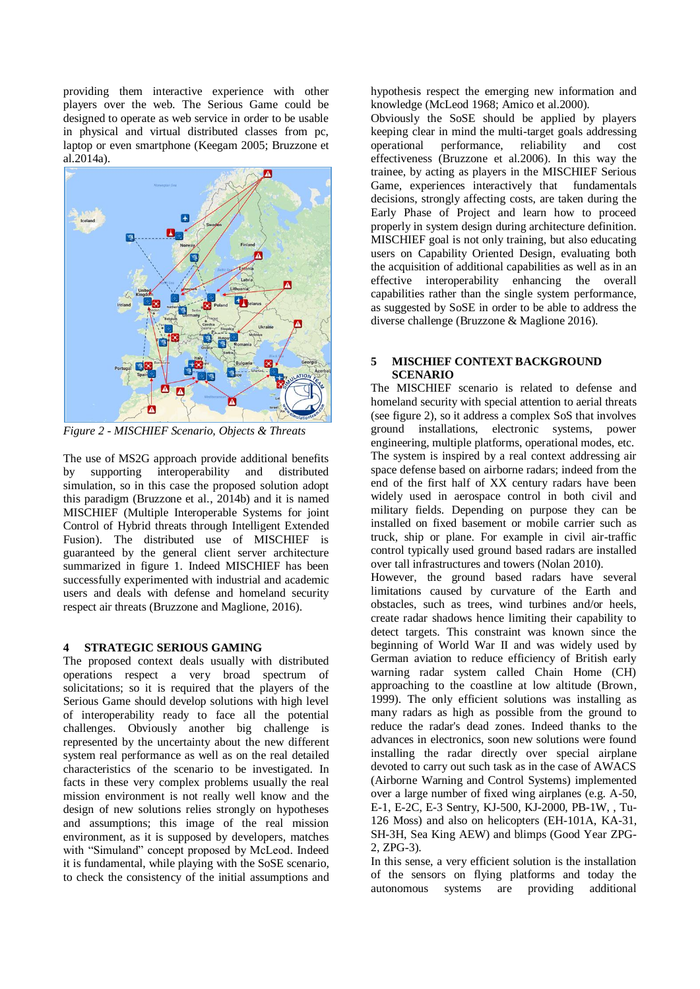providing them interactive experience with other players over the web. The Serious Game could be designed to operate as web service in order to be usable in physical and virtual distributed classes from pc, laptop or even smartphone (Keegam 2005; Bruzzone et al.2014a).



*Figure 2 - MISCHIEF Scenario, Objects & Threats* 

The use of MS2G approach provide additional benefits by supporting interoperability and distributed simulation, so in this case the proposed solution adopt this paradigm (Bruzzone et al., 2014b) and it is named MISCHIEF (Multiple Interoperable Systems for joint Control of Hybrid threats through Intelligent Extended Fusion). The distributed use of MISCHIEF is guaranteed by the general client server architecture summarized in figure 1. Indeed MISCHIEF has been successfully experimented with industrial and academic users and deals with defense and homeland security respect air threats (Bruzzone and Maglione, 2016).

## **4 STRATEGIC SERIOUS GAMING**

The proposed context deals usually with distributed operations respect a very broad spectrum of solicitations; so it is required that the players of the Serious Game should develop solutions with high level of interoperability ready to face all the potential challenges. Obviously another big challenge is represented by the uncertainty about the new different system real performance as well as on the real detailed characteristics of the scenario to be investigated. In facts in these very complex problems usually the real mission environment is not really well know and the design of new solutions relies strongly on hypotheses and assumptions; this image of the real mission environment, as it is supposed by developers, matches with "Simuland" concept proposed by McLeod. Indeed it is fundamental, while playing with the SoSE scenario, to check the consistency of the initial assumptions and hypothesis respect the emerging new information and knowledge (McLeod 1968; Amico et al.2000).

Obviously the SoSE should be applied by players keeping clear in mind the multi-target goals addressing operational performance, reliability and cost effectiveness (Bruzzone et al.2006). In this way the trainee, by acting as players in the MISCHIEF Serious Game, experiences interactively that fundamentals decisions, strongly affecting costs, are taken during the Early Phase of Project and learn how to proceed properly in system design during architecture definition. MISCHIEF goal is not only training, but also educating users on Capability Oriented Design, evaluating both the acquisition of additional capabilities as well as in an effective interoperability enhancing the overall capabilities rather than the single system performance, as suggested by SoSE in order to be able to address the diverse challenge (Bruzzone & Maglione 2016).

## **5 MISCHIEF CONTEXT BACKGROUND SCENARIO**

The MISCHIEF scenario is related to defense and homeland security with special attention to aerial threats (see figure 2), so it address a complex SoS that involves ground installations, electronic systems, power engineering, multiple platforms, operational modes, etc. The system is inspired by a real context addressing air space defense based on airborne radars; indeed from the end of the first half of XX century radars have been widely used in aerospace control in both civil and military fields. Depending on purpose they can be installed on fixed basement or mobile carrier such as truck, ship or plane. For example in civil air-traffic control typically used ground based radars are installed over tall infrastructures and towers (Nolan 2010).

However, the ground based radars have several limitations caused by curvature of the Earth and obstacles, such as trees, wind turbines and/or heels, create radar shadows hence limiting their capability to detect targets. This constraint was known since the beginning of World War II and was widely used by German aviation to reduce efficiency of British early warning radar system called Chain Home (CH) approaching to the coastline at low altitude (Brown, 1999). The only efficient solutions was installing as many radars as high as possible from the ground to reduce the radar's dead zones. Indeed thanks to the advances in electronics, soon new solutions were found installing the radar directly over special airplane devoted to carry out such task as in the case of AWACS (Airborne Warning and Control Systems) implemented over a large number of fixed wing airplanes (e.g. A-50, E-1, E-2C, E-3 Sentry, KJ-500, KJ-2000, PB-1W, , Tu-126 Moss) and also on helicopters (EH-101A, KA-31, SH-3H, Sea King AEW) and blimps (Good Year ZPG-2, ZPG-3).

In this sense, a very efficient solution is the installation of the sensors on flying platforms and today the autonomous systems are providing additional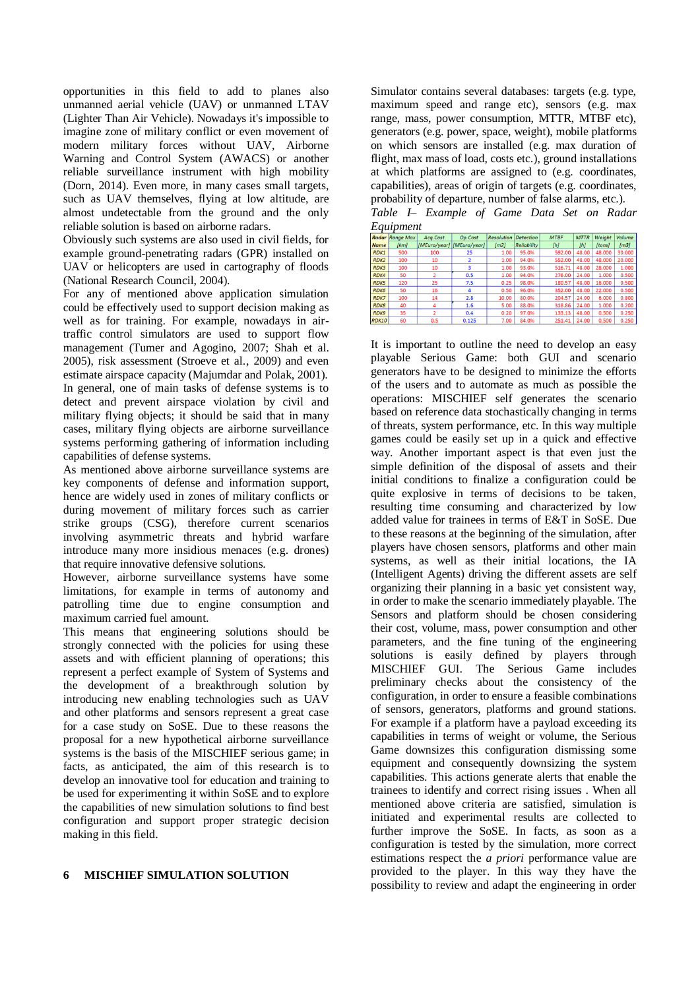opportunities in this field to add to planes also unmanned aerial vehicle (UAV) or unmanned LTAV (Lighter Than Air Vehicle). Nowadays it's impossible to imagine zone of military conflict or even movement of modern military forces without UAV, Airborne Warning and Control System (AWACS) or another reliable surveillance instrument with high mobility (Dorn, 2014). Even more, in many cases small targets, such as UAV themselves, flying at low altitude, are almost undetectable from the ground and the only reliable solution is based on airborne radars.

Obviously such systems are also used in civil fields, for example ground-penetrating radars (GPR) installed on UAV or helicopters are used in cartography of floods (National Research Council, 2004).

For any of mentioned above application simulation could be effectively used to support decision making as well as for training. For example, nowadays in airtraffic control simulators are used to support flow management (Tumer and Agogino, 2007; Shah et al. 2005), risk assessment (Stroeve et al., 2009) and even estimate airspace capacity (Majumdar and Polak, 2001). In general, one of main tasks of defense systems is to detect and prevent airspace violation by civil and military flying objects; it should be said that in many cases, military flying objects are airborne surveillance systems performing gathering of information including capabilities of defense systems.

As mentioned above airborne surveillance systems are key components of defense and information support, hence are widely used in zones of military conflicts or during movement of military forces such as carrier strike groups (CSG), therefore current scenarios involving asymmetric threats and hybrid warfare introduce many more insidious menaces (e.g. drones) that require innovative defensive solutions.

However, airborne surveillance systems have some limitations, for example in terms of autonomy and patrolling time due to engine consumption and maximum carried fuel amount.

This means that engineering solutions should be strongly connected with the policies for using these assets and with efficient planning of operations; this represent a perfect example of System of Systems and the development of a breakthrough solution by introducing new enabling technologies such as UAV and other platforms and sensors represent a great case for a case study on SoSE. Due to these reasons the proposal for a new hypothetical airborne surveillance systems is the basis of the MISCHIEF serious game; in facts, as anticipated, the aim of this research is to develop an innovative tool for education and training to be used for experimenting it within SoSE and to explore the capabilities of new simulation solutions to find best configuration and support proper strategic decision making in this field.

#### **6 MISCHIEF SIMULATION SOLUTION**

Simulator contains several databases: targets (e.g. type, maximum speed and range etc), sensors (e.g. max range, mass, power consumption, MTTR, MTBF etc), generators (e.g. power, space, weight), mobile platforms on which sensors are installed (e.g. max duration of flight, max mass of load, costs etc.), ground installations at which platforms are assigned to (e.g. coordinates, capabilities), areas of origin of targets (e.g. coordinates, probability of departure, number of false alarms, etc.).

*Table I– Example of Game Data Set on Radar Equipment*

|                  | <b>Radar</b> Range Max | Acq.Cost                    | Op.Cost | <b>Resolution</b> | Detection   | <b>MTBF</b> | <b>MTTR</b> | Weight | Volume |
|------------------|------------------------|-----------------------------|---------|-------------------|-------------|-------------|-------------|--------|--------|
| <b>Name</b>      | [km]                   | [MEuro/year]   [MEuro/year] |         | [m2]              | Reliability | [h]         | [h]         | [tons] | [m3]   |
| RDK1             | 500                    | 100                         | 25      | 1.00              | 95.0%       | 592.00      | 48.00       | 48.000 | 30.000 |
| RDK <sub>2</sub> | 100                    | 10                          |         | 1.00              | 94.0%       | 552.00      | 48.00       | 48.000 | 20.000 |
| <b>RDK3</b>      | 100                    | 10                          | 3       | 1.00              | 93.0%       | 516.71      | 48.00       | 28,000 | 1.000  |
| RDK4             | 50                     | $\overline{2}$              | 0.5     | 1.00              | 94.0%       | 276.00      | 24.00       | 1.000  | 0.500  |
| <b>RDK5</b>      | 120                    | 25                          | 7.5     | 0.25              | 98.0%       | 180.57      | 48.00       | 16.000 | 0.500  |
| <b>RDK6</b>      | 50                     | 16                          | 4       | 0.50              | 96.0%       | 352.00      | 48.00       | 22.000 | 0.500  |
| <b>RDK7</b>      | 100                    | 14                          | 2.8     | 10.00             | 80.0%       | 204.57      | 24.00       | 6.000  | 0.800  |
| <b>RDK8</b>      | 40                     | 4                           | 1.6     | 5.00              | 88.0%       | 318.86      | 24.00       | 1.000  | 0.200  |
| <b>RDK9</b>      | 35                     | D                           | 0.4     | 0.20              | 97.0%       | 133.13      | 48.00       | 0.500  | 0.250  |
| <b>RDK10</b>     | 60                     | 0.5                         | 0.125   | 7.00              | 84.0%       | 251.41      | 24.00       | 0.500  | 0.250  |

It is important to outline the need to develop an easy playable Serious Game: both GUI and scenario generators have to be designed to minimize the efforts of the users and to automate as much as possible the operations: MISCHIEF self generates the scenario based on reference data stochastically changing in terms of threats, system performance, etc. In this way multiple games could be easily set up in a quick and effective way. Another important aspect is that even just the simple definition of the disposal of assets and their initial conditions to finalize a configuration could be quite explosive in terms of decisions to be taken, resulting time consuming and characterized by low added value for trainees in terms of E&T in SoSE. Due to these reasons at the beginning of the simulation, after players have chosen sensors, platforms and other main systems, as well as their initial locations, the IA (Intelligent Agents) driving the different assets are self organizing their planning in a basic yet consistent way, in order to make the scenario immediately playable. The Sensors and platform should be chosen considering their cost, volume, mass, power consumption and other parameters, and the fine tuning of the engineering solutions is easily defined by players through MISCHIEF GUI. The Serious Game includes preliminary checks about the consistency of the configuration, in order to ensure a feasible combinations of sensors, generators, platforms and ground stations. For example if a platform have a payload exceeding its capabilities in terms of weight or volume, the Serious Game downsizes this configuration dismissing some equipment and consequently downsizing the system capabilities. This actions generate alerts that enable the trainees to identify and correct rising issues . When all mentioned above criteria are satisfied, simulation is initiated and experimental results are collected to further improve the SoSE. In facts, as soon as a configuration is tested by the simulation, more correct estimations respect the *a priori* performance value are provided to the player. In this way they have the possibility to review and adapt the engineering in order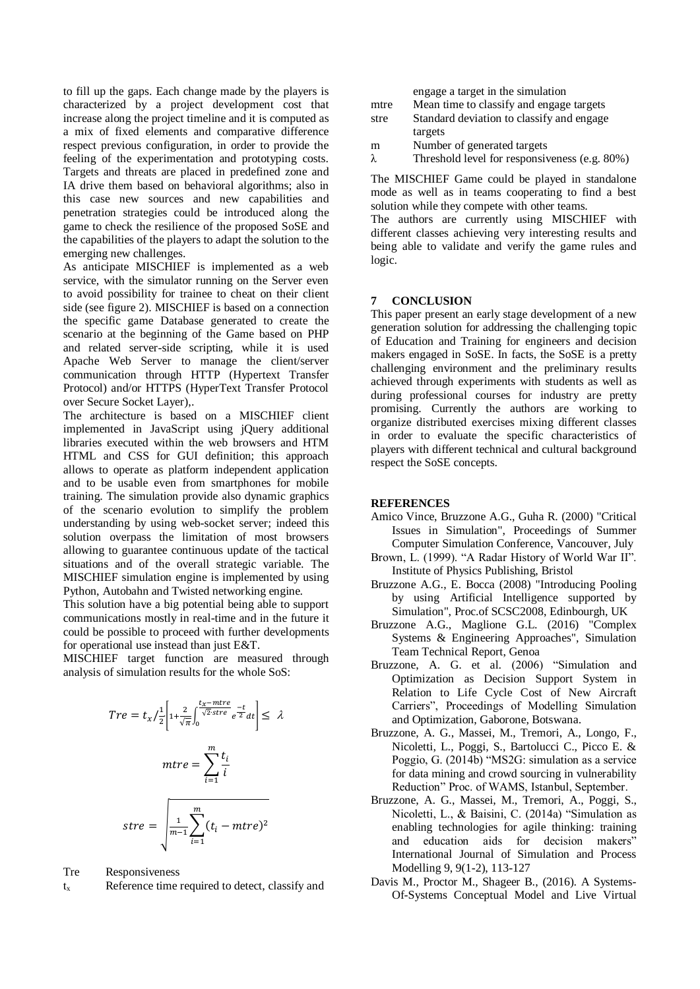to fill up the gaps. Each change made by the players is characterized by a project development cost that increase along the project timeline and it is computed as a mix of fixed elements and comparative difference respect previous configuration, in order to provide the feeling of the experimentation and prototyping costs. Targets and threats are placed in predefined zone and IA drive them based on behavioral algorithms; also in this case new sources and new capabilities and penetration strategies could be introduced along the game to check the resilience of the proposed SoSE and the capabilities of the players to adapt the solution to the emerging new challenges.

As anticipate MISCHIEF is implemented as a web service, with the simulator running on the Server even to avoid possibility for trainee to cheat on their client side (see figure 2). MISCHIEF is based on a connection the specific game Database generated to create the scenario at the beginning of the Game based on PHP and related server-side scripting, while it is used Apache Web Server to manage the client/server communication through HTTP (Hypertext Transfer Protocol) and/or HTTPS (HyperText Transfer Protocol over Secure Socket Layer),.

The architecture is based on a MISCHIEF client implemented in JavaScript using jQuery additional libraries executed within the web browsers and HTM HTML and CSS for GUI definition; this approach allows to operate as platform independent application and to be usable even from smartphones for mobile training. The simulation provide also dynamic graphics of the scenario evolution to simplify the problem understanding by using web-socket server; indeed this solution overpass the limitation of most browsers allowing to guarantee continuous update of the tactical situations and of the overall strategic variable. The MISCHIEF simulation engine is implemented by using Python, Autobahn and Twisted networking engine.

This solution have a big potential being able to support communications mostly in real-time and in the future it could be possible to proceed with further developments for operational use instead than just E&T.

MISCHIEF target function are measured through analysis of simulation results for the whole SoS:

$$
Tre = t_x / \frac{1}{2} \left[ 1 + \frac{2}{\sqrt{\pi}} \int_0^{\frac{t_x - mtre}{\sqrt{2} \cdot stre}} e^{-\frac{t}{2}} dt \right] \le \lambda
$$

$$
mtre = \sum_{i=1}^m \frac{t_i}{i}
$$

$$
stre = \sqrt{\frac{1}{m-1} \sum_{i=1}^m (t_i - mtre)^2}
$$

Tre Responsiveness

 $t<sub>x</sub>$  Reference time required to detect, classify and

|      | engage a target in the simulation             |
|------|-----------------------------------------------|
| mtre | Mean time to classify and engage targets      |
| stre | Standard deviation to classify and engage     |
|      | targets                                       |
| m    | Number of generated targets                   |
| λ    | Threshold level for responsiveness (e.g. 80%) |

The MISCHIEF Game could be played in standalone mode as well as in teams cooperating to find a best solution while they compete with other teams.

The authors are currently using MISCHIEF with different classes achieving very interesting results and being able to validate and verify the game rules and logic.

### **7 CONCLUSION**

This paper present an early stage development of a new generation solution for addressing the challenging topic of Education and Training for engineers and decision makers engaged in SoSE. In facts, the SoSE is a pretty challenging environment and the preliminary results achieved through experiments with students as well as during professional courses for industry are pretty promising. Currently the authors are working to organize distributed exercises mixing different classes in order to evaluate the specific characteristics of players with different technical and cultural background respect the SoSE concepts.

### **REFERENCES**

- Amico Vince, Bruzzone A.G., Guha R. (2000) "Critical Issues in Simulation", Proceedings of Summer Computer Simulation Conference, Vancouver, July
- Brown, L. (1999). "A Radar History of World War II". Institute of Physics Publishing, Bristol
- Bruzzone A.G., E. Bocca (2008) "Introducing Pooling by using Artificial Intelligence supported by Simulation", Proc.of SCSC2008, Edinbourgh, UK
- Bruzzone A.G., Maglione G.L. (2016) "Complex Systems & Engineering Approaches", Simulation Team Technical Report, Genoa
- Bruzzone, A. G. et al. (2006) "Simulation and Optimization as Decision Support System in Relation to Life Cycle Cost of New Aircraft Carriers", Proceedings of Modelling Simulation and Optimization, Gaborone, Botswana.
- Bruzzone, A. G., Massei, M., Tremori, A., Longo, F., Nicoletti, L., Poggi, S., Bartolucci C., Picco E. & Poggio, G. (2014b) "MS2G: simulation as a service for data mining and crowd sourcing in vulnerability Reduction" Proc. of WAMS, Istanbul, September.
- Bruzzone, A. G., Massei, M., Tremori, A., Poggi, S., Nicoletti, L., & Baisini, C. (2014a) "Simulation as enabling technologies for agile thinking: training and education aids for decision makers" International Journal of Simulation and Process Modelling 9, 9(1-2), 113-127
- Davis M., Proctor M., Shageer B., (2016). A Systems-Of-Systems Conceptual Model and Live Virtual